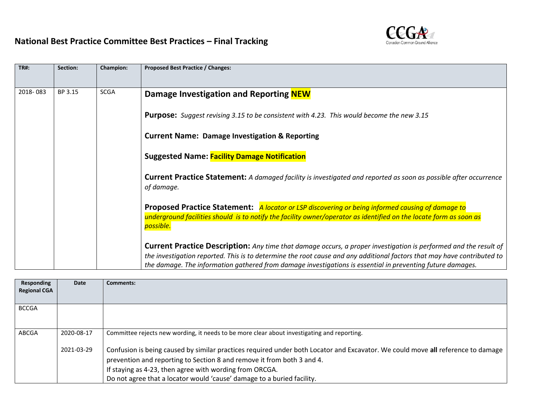

| Section: | Champion:   | Proposed Best Practice / Changes:                                                                                                                                                                                                                                                                                                                                |
|----------|-------------|------------------------------------------------------------------------------------------------------------------------------------------------------------------------------------------------------------------------------------------------------------------------------------------------------------------------------------------------------------------|
|          |             |                                                                                                                                                                                                                                                                                                                                                                  |
| BP 3.15  | <b>SCGA</b> | Damage Investigation and Reporting NEW                                                                                                                                                                                                                                                                                                                           |
|          |             | <b>Purpose:</b> Suggest revising 3.15 to be consistent with 4.23. This would become the new 3.15                                                                                                                                                                                                                                                                 |
|          |             | <b>Current Name: Damage Investigation &amp; Reporting</b>                                                                                                                                                                                                                                                                                                        |
|          |             | <b>Suggested Name: Facility Damage Notification</b>                                                                                                                                                                                                                                                                                                              |
|          |             | <b>Current Practice Statement:</b> A damaged facility is investigated and reported as soon as possible after occurrence<br>of damage.                                                                                                                                                                                                                            |
|          |             | Proposed Practice Statement: A locator or LSP discovering or being informed causing of damage to                                                                                                                                                                                                                                                                 |
|          |             | underground facilities should is to notify the facility owner/operator as identified on the locate form as soon as                                                                                                                                                                                                                                               |
|          |             | possible.                                                                                                                                                                                                                                                                                                                                                        |
|          |             | <b>Current Practice Description:</b> Any time that damage occurs, a proper investigation is performed and the result of<br>the investigation reported. This is to determine the root cause and any additional factors that may have contributed to<br>the damage. The information gathered from damage investigations is essential in preventing future damages. |
|          |             |                                                                                                                                                                                                                                                                                                                                                                  |

| Responding<br><b>Regional CGA</b> | Date       | Comments:                                                                                                                                                                                                                                                                                                                                      |
|-----------------------------------|------------|------------------------------------------------------------------------------------------------------------------------------------------------------------------------------------------------------------------------------------------------------------------------------------------------------------------------------------------------|
| <b>BCCGA</b>                      |            |                                                                                                                                                                                                                                                                                                                                                |
| ABCGA                             | 2020-08-17 | Committee rejects new wording, it needs to be more clear about investigating and reporting.                                                                                                                                                                                                                                                    |
|                                   | 2021-03-29 | Confusion is being caused by similar practices required under both Locator and Excavator. We could move all reference to damage<br>prevention and reporting to Section 8 and remove it from both 3 and 4.<br>If staying as 4-23, then agree with wording from ORCGA.<br>Do not agree that a locator would 'cause' damage to a buried facility. |